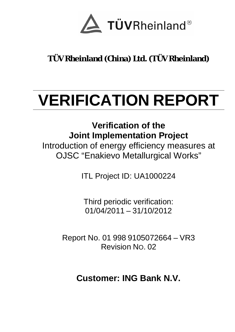

**TÜV Rheinland (China) Ltd. (TÜV Rheinland)**

# **VERIFICATION REPORT**

**Verification of the Joint Implementation Project**  Introduction of energy efficiency measures at OJSC "Enakievo Metallurgical Works"

ITL Project ID: UA1000224

Third periodic verification: 01/04/2011 – 31/10/2012

Report No. 01 998 9105072664 – VR3 Revision NO. 02

**Customer: ING Bank N.V.**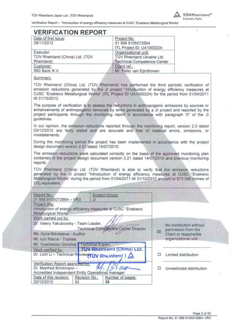

# **VERIFICATION REPORT**

| Date of first issue:<br>28/11/2012 | Project No:<br>01 998 9105072664<br>ITL Project ID: UA1000224 |
|------------------------------------|---------------------------------------------------------------|
| Executor:                          | Organizational unit:                                          |
| TÜV Rheinland (China) Ltd. (TÜV    | TÜV Rheinland Ukraine Ltd.                                    |
| Rheinland)                         | Technical Competence Center                                   |
| Customer:                          | Client ref.:                                                  |
| ING Bank N.V.                      | Mr. Peter van Eijndhoven                                      |

#### Summary:

TÜV Rheinland (China) Ltd. (TÜV Rheinland) has performed the third periodic verification of emission reductions generated by the JI project "Introduction of energy efficiency measures at OJSC "Enakievo Metallurgical Works" (ITL Project ID UA1000224) for the period from 01/04/2011 till 31/10/2012.

The purpose of verification is to assess the reductions in anthropogenic emissions by sources or enhancements of anthropogenic removals by sinks generated by a JI project and reported by the project participants through the monitoring report in accordance with paragraph 37 of the JI quidelines.

In our opinion, the emission reductions reported through the monitoring report, version 2.0 dated 03/12/2012 are fairly stated and are accurate and free of material errors, omissions, or misstatements.

During the monitoring period the project has been implemented in accordance with the project design document version 2.21 dated 14/07/2010.

The emission reductions were calculated correctly on the basis of the approved monitoring plan contained in the project design document version 2.21 dated 14/07/2010 and previous monitoring reports.

TÜV Rheinland (China) Ltd. (TÜV Rheinland) is able to verify that the emission reductions generated by the JI project "Introduction of energy efficiency measures at OJSC "Enakievo Metallurgical Works" during the period from 01/04/2011 till 31/10/2012 amount to 673 040 tonnes of CO<sub>2</sub> equivalent.

| Report No.:                                                                  |               |                                                               |   |                                                |
|------------------------------------------------------------------------------|---------------|---------------------------------------------------------------|---|------------------------------------------------|
| 01 998 9105072664 - VR3                                                      | зı            | Subject Group:                                                |   |                                                |
| Project title:<br>Metallurgical Works"                                       |               | Introduction of energy efficiency measures at OJSC "Enakievo" |   |                                                |
| Work carried out by:<br>Dr. Valery Yakubovsky - Team Leader,                 |               | Technical Competence Center Director                          |   | No distribution without<br>permission from the |
| Ms. Iryna Nikolaieva - Auditor<br>Mr. Iurii Petruk - Trainee                 |               |                                                               | 図 | Client or responsible<br>organizational unit   |
| Mr. Vyacheslav Gonchar   Technical Expert                                    |               |                                                               |   |                                                |
| Work verified by:                                                            |               | TUV Rheinland (China) Ltd.                                    |   |                                                |
| Dr. Lixin Li - Technical ReviewertUV Rheinland )                             |               |                                                               | o | Limited distribution                           |
| Verification Report approved by                                              |               |                                                               |   |                                                |
| Dr. Manfred Brinkmann -<br>Accredited Independent Entity Operational manager |               |                                                               | п | Unrestricted distribution                      |
| Date of this revision:                                                       | Revision No.: | Number of pages:                                              |   |                                                |
| 20/12/2012                                                                   | 02            | 35                                                            |   |                                                |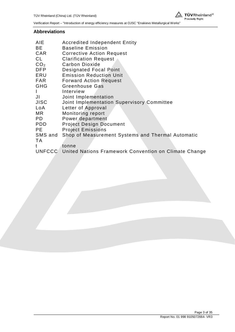

#### **Abbreviations**

| AIE             | <b>Accredited Independent Entity</b>                         |
|-----------------|--------------------------------------------------------------|
| BЕ              | <b>Baseline Emission</b>                                     |
| CAR             | <b>Corrective Action Request</b>                             |
| CL              | <b>Clarification Request</b>                                 |
| CO <sub>2</sub> | <b>Carbon Dioxide</b>                                        |
| DFP             | <b>Designated Focal Point</b>                                |
| ERU             | <b>Emission Reduction Unit</b>                               |
| FAR             | <b>Forward Action Request</b>                                |
| <b>GHG</b>      | Greenhouse Gas                                               |
|                 | Interview                                                    |
| JI              | Joint Implementation                                         |
| <b>JISC</b>     | Joint Implementation Supervisory Committee                   |
| LoA             | Letter of Approval                                           |
| MR              | Monitoring report                                            |
| PD              | Power department                                             |
| PDD             | <b>Project Design Document</b>                               |
| PE              | <b>Project Emissions</b>                                     |
| SMS and         | Shop of Measurement Systems and Thermal Automatic            |
| ТA              |                                                              |
| t               | tonne                                                        |
|                 | UNFCCC United Nations Framework Convention on Climate Change |
|                 |                                                              |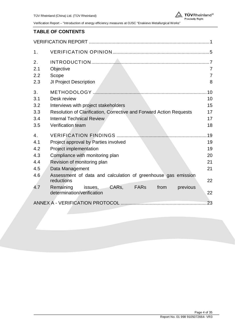#### **TABLE OF CONTENTS**

| 1.               |                                                                                      |                |  |
|------------------|--------------------------------------------------------------------------------------|----------------|--|
| 2.               |                                                                                      |                |  |
| 2.1              | Objective                                                                            | 7              |  |
| 2.2              | Scope                                                                                | $\overline{7}$ |  |
| 2.3              | JI Project Description                                                               | 8              |  |
| 3.               |                                                                                      | .10            |  |
| 3.1              | Desk review                                                                          | 10             |  |
| 3.2              | Interviews with project stakeholders                                                 | 15             |  |
| 3.3              | Resolution of Clarification, Corrective and Forward Action Requests                  |                |  |
| 3.4              | <b>Internal Technical Review</b>                                                     | 17             |  |
| 3.5              | Verification team                                                                    | 18             |  |
| $\overline{4}$ . |                                                                                      | .19            |  |
| 4.1              | 19<br>Project approval by Parties involved                                           |                |  |
| 4.2              | Project implementation<br>19                                                         |                |  |
| 4.3              | Compliance with monitoring plan                                                      | 20             |  |
| 4.4              | Revision of monitoring plan                                                          | 21             |  |
| 4.5              | Data Management                                                                      | 21             |  |
| 4.6              | Assessment of data and calculation of greenhouse gas emission<br>reductions          | 22             |  |
| 4.7              | CARs, FARs<br>Remaining<br>from<br>issues,<br>previous<br>determination/verification | 22             |  |
|                  |                                                                                      | 23             |  |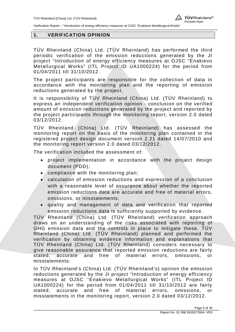

#### **1. VERIFICATION OPINION**

TÜV Rheinland (China) Ltd. (TÜV Rheinland) has performed the third periodic verification of the emission reductions generated by the JI project "Introduction of energy efficiency measures at OJSC "Enakievo Metallurgical Works" (ITL Project ID UA1000224) for the period from 01/04/2011 till 31/10/2012.

The project participants are responsible for the collection of data in accordance with the monitoring plan and the reporting of emission reductions generated by the project.

It is responsibility of TÜV Rheinland (China) Ltd. (TÜV Rheinland) to express an independent verification opinion - conclusion on the verified amount of emission reductions generated by the project and reported by the project participants through the monitoring report, version 2.0 dated 03/12/2012.

TÜV Rheinland (China) Ltd. (TÜV Rheinland) has assessed the monitoring report on the basis of the monitoring plan contained in the registered project design document version 2.21 dated 14/07/2010 and the monitoring report version 2.0 dated 03/12/2012.

The verification included the assessment of:

- project implementation in accordance with the project design document (PDD);
- $\bullet$  compliance with the monitoring plan;
- calculation of emission reductions and expression of a conclusion with a reasonable level of assurance about whether the reported emission reductions data are accurate and free of material errors, omissions, or misstatements;
- x quality and management of data and verification that reported emission reductions data is sufficiently supported by evidence.

TÜV Rheinland (China) Ltd. (TÜV Rheinland) verification approach draws on an understanding of the risks associated with reporting of GHG emission data and the controls in place to mitigate these. TÜV Rheinland (China) Ltd. (TÜV Rheinland) planned and performed the verification by obtaining evidence information and explanations that TÜV Rheinland (China) Ltd. (TÜV Rheinland) considers necessary to give reasonable assurance that reported emission reductions are fairly stated, accurate and free of material errors, omissions, or misstatements.

In TÜV Rheinland's (China) Ltd. (TÜV Rheinland's) opinion the emission reductions generated by the JI project "Introduction of energy efficiency measures at OJSC "Enakievo Metallurgical Works" (ITL Project ID UA1000224) for the period from 01/04/2011 till 31/10/2012 are fairly stated, accurate and free of material errors, omissions, or misstatements in the monitoring report, version 2.0 dated 03/12/2012.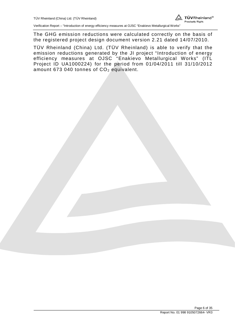

The GHG emission reductions were calculated correctly on the basis of the registered project design document version 2.21 dated 14/07/2010.

TÜV Rheinland (China) Ltd. (TÜV Rheinland) is able to verify that the emission reductions generated by the JI project "Introduction of energy efficiency measures at OJSC "Enakievo Metallurgical Works" (ITL Project ID UA1000224) for the period from 01/04/2011 till 31/10/2012 amount 673 040 tonnes of  $CO<sub>2</sub>$  equivalent.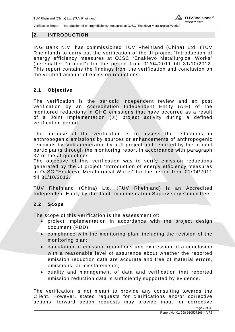#### **2. INTRODUCTION**

ING Bank N.V. has commissioned TÜV Rheinland (China) Ltd. (TÜV Rheinland) to carry out the verification of the JI project "Introduction of energy efficiency measures at OJSC "Enakievo Metallurgical Works" (hereinafter "project") for the period from 01/04/2011 till 31/10/2012. This report contains the findings from the verification and conclusion on the verified amount of emission reductions.

### **2.1 Objective**

The verification is the periodic independent review and ex post verification by an Accreditation Independent Entity (AIE) of the monitored reductions in GHG emissions that have occurred as a result of a Joint Implementation (JI) project activity during a defined verification period.

The purpose of the verification is to assess the reductions in anthropogenic emissions by sources or enhancements of anthropogenic removals by sinks generated by a JI project and reported by the project participants through the monitoring report in accordance with paragraph 37 of the JI guidelines.

The objective of this verification was to verify emission reductions generated by the JI project "Introduction of energy efficiency measures at OJSC "Enakievo Metallurgical Works" for the period from 01/04/2011 till 31/10/2012.

TÜV Rheinland (China) Ltd. (TÜV Rheinland) is an Accredited Independent Entity by the Joint Implementation Supervisory Committee.

#### **2.2 Scope**

The scope of this verification is the assessment of:

- project implementation in accordance with the project design document (PDD);
- compliance with the monitoring plan, including the revision of the monitoring plan;
- calculation of emission reductions and expression of a conclusion with a reasonable level of assurance about whether the reported emission reduction data are accurate and free of material errors, omissions, or misstatements;
- x quality and management of data and verification that reported emission reduction data is sufficiently supported by evidence.

The verification is not meant to provide any consulting towards the Client. However, stated requests for clarifications and/or corrective actions, forward action requests may provide input for corrective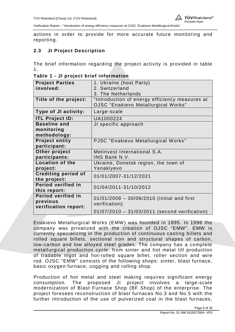

actions in order to provide for more accurate future monitoring and reporting.

## **2.3 JI Project Description**

The brief information regarding the project activity is provided in table 1.

| <b>Project Parties</b>     | 1. Ukraine (host Party)                        |  |
|----------------------------|------------------------------------------------|--|
| involved:                  | 2. Switzerland                                 |  |
|                            | 3. The Netherlands                             |  |
| Title of the project:      | "Introduction of energy efficiency measures at |  |
|                            | <b>OJSC</b> "Enakievo Metallurgical Works"     |  |
| Type of JI activity:       | Large-scale                                    |  |
| <b>ITL Project ID:</b>     | UA1000224                                      |  |
| <b>Baseline and</b>        | JI specific approach                           |  |
| monitoring                 |                                                |  |
| methodology:               |                                                |  |
| <b>Project entity</b>      | PJSC "Enakievo Metallurgical Works"            |  |
| participant:               |                                                |  |
| Other project              | Metinvest International S.A.                   |  |
| participants:              | ING Bank N.V.                                  |  |
| <b>Location of the</b>     | Ukraine, Donetsk region, the town of           |  |
| project:                   | Yenakiyevo                                     |  |
| <b>Crediting period of</b> | 01/01/2007-31/12/2021                          |  |
| the project:               |                                                |  |
| Period verified in         | 01/04/2011-31/10/2012                          |  |
| this report:               |                                                |  |
| Period verified in         | $01/01/2008 - 30/06/2010$ (initial and first   |  |
| previous                   | verification)                                  |  |
| verification report:       |                                                |  |
|                            | 01/07/2010 - 31/03/2011 (second verification)  |  |

**Table 1 - JI project brief information** 

Enakievo Metallurgical Works (EMW) was founded in 1895. In 1996 the company was privatized with the creation of OJSC "EMW". EMW is currently specializing in the production of continuous casting billets and rolled square billets, sectional iron and structural shapes of carbon, low-carbon and low alloyed steel grades. The company has a complete metallurgical production cycle: from sinter and hot metal till production of tradable ingot and hot-rolled square billet, roller section and wire rod. OJSC "EMW" consists of the following shops: sinter, blast furnace, basic oxygen furnace, cogging and rolling shop.

Production of hot metal and steel making requires significant energy consumption. The proposed JI project involves a large-scale modernization of Blast Furnace Shop (BF Shop) of the enterprise. The project foresees reconstruction of blast furnaces No.3 and No.5 with the further introduction of the use of pulverized coal in the blast furnaces,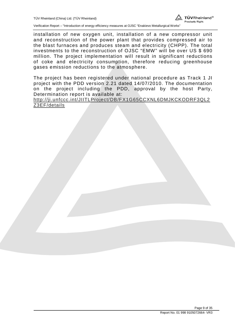installation of new oxygen unit, installation of a new compressor unit and reconstruction of the power plant that provides compressed air to the blast furnaces and produces steam and electricity (CHPP). The total investments to the reconstruction of OJSC "EMW" will be over US \$ 690 million. The project implementation will result in significant reductions of coke and electricity consumption, therefore reducing greenhouse gases emission reductions to the atmosphere.

The project has been registered under national procedure as Track 1 JI project with the PDD version 2.21 dated 14/07/2010. The documentation on the project including the PDD, approval by the host Party, Determination report is available at:

http://ji.unfccc.int/JIITLProject/DB/FX1G65CCXNL6DMJKCKODRF3QL2 Z3EF/details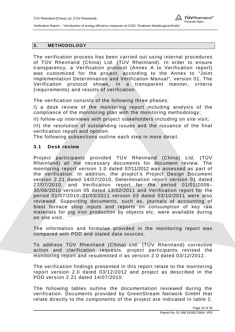#### **3. METHODOLOGY**

The verification process has been carried out using internal procedures of TÜV Rheinland (China) Ltd. (TÜV Rheinland). In order to ensure transparency, a Verification protocol (Annex A to Verification report) was customized for the project, according to the Annex to "Joint Implementation Determination and Verification Manual", version 01. The Verification protocol shows, in a transparent manner, criteria (requirements) and results of verification.

The verification consists of the following three phases:

I) a desk review of the monitoring report including analysis of the compliance of the monitoring plan with the monitoring methodology;

II) follow-up interviews with project stakeholders including on site visit;

III) the resolution of outstanding issues and the issuance of the final verification report and opinion.

The following subsections outline each step in more detail.

#### **3.1 Desk review**

Project participants provided TÜV Rheinland (China) Ltd. (TÜV Rheinland) all the necessary documents for document review. The monitoring report version 1.0 dated 07/11/2012 was assessed as part of the verification. In addition, the project's Project Design Document version 2.21 dated 14/07/2010, Determination report version 01 dated 27/07/2010, and Verification report for the period 01/01/2008– 30/06/2010 version 05 dated 13/02/2011 and Verification report for the period 01/07/2010–31/03/2011 version 03 dated 03/10/2011 were also reviewed. Supporting documents, such as, journals of accounting of blast furnace shop inputs and reports on consumption of key raw materials for pig iron production by objects etc. were available during on site visit.

The information and formulae provided in the monitoring report was compared with PDD and stated data sources.

To address TÜV Rheinland (China) Ltd. (TÜV Rheinland) corrective action and clarification requests, project participants revised the monitoring report and resubmitted it as version 2.0 dated 03/12/2012.

The verification findings presented in this report relate to the monitoring report version 2.0 dated 03/12/2012 and project as described in the PDD version 2.21 dated 14/07/2010.

The following tables outline the documentation reviewed during the verification. Documents provided by GreenStream Network GmbH that relate directly to the components of the project are indicated in table 2.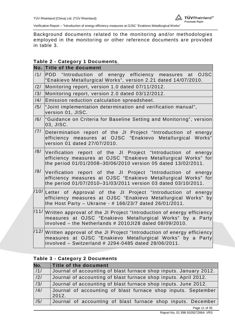

Background documents related to the monitoring and/or methodologies employed in the monitoring or other reference documents are provided in table 3.

## **Table 2 - Category 1 Documents**

|      | No. Title of the document                                                                                                                                                                                          |
|------|--------------------------------------------------------------------------------------------------------------------------------------------------------------------------------------------------------------------|
| /1/  | PDD "Introduction of energy efficiency measures at<br><b>OJSC</b><br>"Enakievo Metallurgical Works", version 2.21 dated 14/07/2010.                                                                                |
| /2/  | Monitoring report, version 1.0 dated 07/11/2012.                                                                                                                                                                   |
| /3/  | Monitoring report, version 2.0 dated 03/12/2012.                                                                                                                                                                   |
| /4/  | Emission reduction calculation spreadsheet.                                                                                                                                                                        |
| /5/  | "Joint implementation determination and verification manual",<br>version 01, JISC.                                                                                                                                 |
| /6/  | "Guidance on Criteria for Baseline Setting and Monitoring", version<br>03, JISC.                                                                                                                                   |
| /7/  | Determination report of the JI Project "Introduction of energy<br>efficiency measures at OJSC "Enakievo Metallurgical Works"<br>version 01 dated 27/07/2010.                                                       |
| /8/  | Verification report of the JI Project "Introduction of energy<br>efficiency measures at OJSC "Enakievo Metallurgical Works" for<br>the period 01/01/2008-30/06/2010 version 05 dated 13/02/2011.                   |
| /9/  | Verification report of the JI Project "Introduction of energy<br>efficiency measures at OJSC "Enakievo Metallurgical Works" for<br>the period 01/07/2010-31/03/2011 version 03 dated 03/10/2011.                   |
|      | $/10/$ Letter of Approval of the JI Project "Introduction of energy<br>efficiency measures at OJSC "Enakievo Metallurgical Works" by<br>the Host Party - Ukraine - # 166/23/7 dated 26/01/2011.                    |
|      | $\left  111\right $ Written approval of the JI Project "Introduction of energy efficiency<br>measures at OJSC "Enakievo Metallurgical Works" by a Party<br>involved - the Netherlands # 2010JI28 dated 08/09/2010. |
| /12/ | Written approval of the JI Project "Introduction of energy efficiency<br>measures at OJSC "Enakievo Metallurgical Works" by a Party<br>involved - Switzerland # J294-0485 dated 28/06/2011.                        |

## **Table 3 - Category 2 Documents**

| No.              | Title of the document                                                  |
|------------------|------------------------------------------------------------------------|
| /1/              | Journal of accounting of blast furnace shop inputs. January 2012.      |
| $\overline{121}$ | Journal of accounting of blast furnace shop inputs. April 2012.        |
| $\overline{3/}$  | Journal of accounting of blast furnace shop inputs. June 2012.         |
| /4/              | Journal of accounting of blast furnace shop inputs. September<br>2012. |
| /5/              | Journal of accounting of blast furnace shop inputs. December           |

Page 11 of 35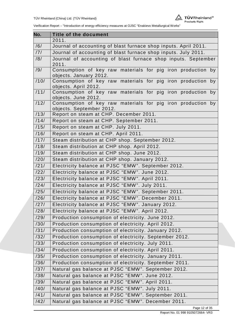

| No.  | <b>Title of the document</b>                                                        |  |  |
|------|-------------------------------------------------------------------------------------|--|--|
|      | 2011.                                                                               |  |  |
| /6/  | Journal of accounting of blast furnace shop inputs. April 2011.                     |  |  |
| /7/  | Journal of accounting of blast furnace shop inputs. July 2011.                      |  |  |
| /8/  | Journal of accounting of blast furnace shop inputs. September                       |  |  |
|      | 2011.                                                                               |  |  |
| /9/  | Consumption of key raw materials for pig iron production by                         |  |  |
|      | objects. January 2012.                                                              |  |  |
| /10/ | Consumption of key raw materials for pig iron production by                         |  |  |
| 111/ | objects. April 2012.<br>Consumption of key raw materials for pig iron production by |  |  |
|      | objects. June 2012.                                                                 |  |  |
| /12/ | Consumption of key raw materials for pig iron production by                         |  |  |
|      | objects. September 2012.                                                            |  |  |
| /13/ | Report on steam at CHP. December 2011.                                              |  |  |
| /14/ | Report on steam at CHP. September 2011.                                             |  |  |
| /15/ | Report on steam at CHP. July 2011.                                                  |  |  |
| /16/ | Report on steam at CHP. April 2011.                                                 |  |  |
| /17/ | Steam distribution at CHP shop. September 2012.                                     |  |  |
| /18/ | Steam distribution at CHP shop. April 2012.                                         |  |  |
| /19/ | Steam distribution at CHP shop. June 2012.                                          |  |  |
| /20/ | Steam distribution at CHP shop. January 2012.                                       |  |  |
| /21/ | Electricity balance at PJSC "EMW". September 2012.                                  |  |  |
| /22/ | Electricity balance at PJSC "EMW". June 2012.                                       |  |  |
| /23/ | Electricity balance at PJSC "EMW". April 2011.                                      |  |  |
| /24/ | Electricity balance at PJSC "EMW". July 2011.                                       |  |  |
| /25/ | Electricity balance at PJSC "EMW". September 2011.                                  |  |  |
| /26/ | Electricity balance at PJSC "EMW". December 2011.                                   |  |  |
| /27/ | Electricity balance at PJSC "EMW". January 2012.                                    |  |  |
| /28/ | Electricity balance at PJSC "EMW". April 2012.                                      |  |  |
| /29/ | Production consumption of electricity. June 2012.                                   |  |  |
| /30/ | Production consumption of electricity. April 2012.                                  |  |  |
| /31/ | Production consumption of electricity. January 2012.                                |  |  |
| /32/ | Production consumption of electricity. September 2012.                              |  |  |
| /33/ | Production consumption of electricity. July 2011.                                   |  |  |
| /34/ | Production consumption of electricity. April 2011.                                  |  |  |
| /35/ | Production consumption of electricity. January 2011.                                |  |  |
| /36/ | Production consumption of electricity. September 2011.                              |  |  |
| /37/ | Natural gas balance at PJSC "EMW". September 2012.                                  |  |  |
| /38/ | Natural gas balance at PJSC "EMW". June 2012.                                       |  |  |
| /39/ | Natural gas balance at PJSC "EMW". April 2011.                                      |  |  |
| /40/ | Natural gas balance at PJSC "EMW". July 2011.                                       |  |  |
| /41/ | Natural gas balance at PJSC "EMW". September 2011.                                  |  |  |
| /42/ | Natural gas balance at PJSC "EMW". December 2011.                                   |  |  |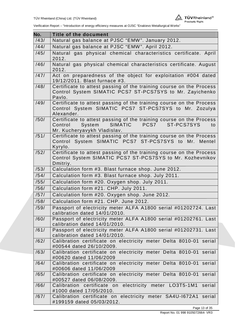

| No.  | <b>Title of the document</b>                                                                                                                                          |  |  |
|------|-----------------------------------------------------------------------------------------------------------------------------------------------------------------------|--|--|
| /43/ | Natural gas balance at PJSC "EMW". January 2012.                                                                                                                      |  |  |
| /44/ | Natural gas balance at PJSC "EMW". April 2012.                                                                                                                        |  |  |
| /45/ | Natural gas physical chemical characteristics certificate. April<br>2012.                                                                                             |  |  |
| /46/ | Natural gas physical chemical characteristics certificate. August<br>2012.                                                                                            |  |  |
| /47/ | Act on preparedness of the object for exploitation #004 dated<br>19/12/2011. Blast furnace #3.                                                                        |  |  |
| /48/ | Certificate to attest passing of the training course on the Process<br>Control System SIMATIC PCS7 ST-PCS7SYS to Mr. Zayichenko<br>Pavlo.                             |  |  |
| /49/ | Certificate to attest passing of the training course on the Process<br>Control System SIMATIC PCS7 ST-PCS7SYS to Mr. Zozulya<br>Alexander.                            |  |  |
| /50/ | Certificate to attest passing of the training course on the Process<br><b>SIMATIC</b><br>PCS7<br>Control<br>System<br>ST-PCS7SYS<br>to<br>Mr. Kucheryavykh Vladislav. |  |  |
| /51/ | Certificate to attest passing of the training course on the Process<br>Control System SIMATIC PCS7 ST-PCS7SYS to Mr.<br>Mentel<br>Kyrylo.                             |  |  |
| /52/ | Certificate to attest passing of the training course on the Process<br>Control System SIMATIC PCS7 ST-PCS7SYS to Mr. Kozhevnikov<br>Dmitriy.                          |  |  |
| /53/ | Calculation form #3. Blast furnace shop. June 2012.                                                                                                                   |  |  |
| /54/ | Calculation form #3. Blast furnace shop. July 2011.                                                                                                                   |  |  |
| /55/ | Calculation form #20. Oxygen shop. July 2011.                                                                                                                         |  |  |
| /56/ | Calculation form #21. CHP. July 2011.                                                                                                                                 |  |  |
| /57/ | Calculation form #20. Oxygen shop. June 2012.                                                                                                                         |  |  |
| /58/ | Calculation form #21. CHP. June 2012.                                                                                                                                 |  |  |
| /59/ | Passport of electricity meter ALFA A1800 serial #01202724. Last<br>calibration dated 14/01/2010.                                                                      |  |  |
| /60/ | Passport of electricity meter ALFA A1800 serial #01202761. Last<br>calibration dated 14/01/2010.                                                                      |  |  |
| /61/ | Passport of electricity meter ALFA A1800 serial #01202731. Last<br>calibration dated 14/01/2010.                                                                      |  |  |
| /62/ | Calibration certificate on electricity meter Delta 8010-01 serial<br>#00544 dated 26/10/2009.                                                                         |  |  |
| /63/ | Calibration certificate on electricity meter Delta 8010-01 serial<br>#00620 dated 11/06/2009                                                                          |  |  |
| /64/ | Calibration certificate on electricity meter Delta 8010-01 serial<br>#00606 dated 11/06/2009                                                                          |  |  |
| /65/ | Calibration certificate on electricity meter Delta 8010-01 serial<br>#00527 dated 06/08/2009.                                                                         |  |  |
| /66/ | Calibration certificate on electricity meter LO3T5-1M1<br>serial<br>#1000 dated 17/05/2010.                                                                           |  |  |
| /67/ | Calibration certificate on electricity meter SA4U-1672A1 serial<br>#199159 dated 05/03/2012.                                                                          |  |  |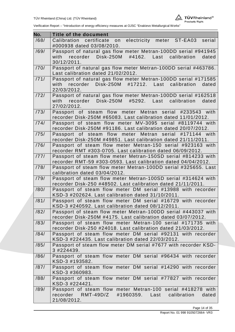

| No.  | <b>Title of the document</b>                                                                                                |
|------|-----------------------------------------------------------------------------------------------------------------------------|
| /68/ | Calibration certificate<br>electricity meter ST-EA03<br>on<br>serial<br>#000938 dated 03/08/2010.                           |
| /69/ | Passport of natural gas flow meter Metran-100DD serial #941945                                                              |
|      | recorder<br>Disk-250M<br>#4162.<br>calibration<br>with<br>Last<br>dated<br>30/12/2011.                                      |
| /70/ | Passport of natural gas flow meter Metran-100DD serial #463786.<br>Last calibration dated 21/02/2012.                       |
| /71/ | Passport of natural gas flow meter Metran-100DD serial #171585                                                              |
|      | Disk-250M #17212. Last<br>with<br>recorder<br>calibration<br>dated<br>22/03/2012.                                           |
| 172/ | Passport of natural gas flow meter Metran-100DD serial #162518                                                              |
|      | with recorder Disk-250M #5292. Last<br>calibration<br>dated<br>27/02/2012.                                                  |
| /73/ | Passport of steam flow meter Metran serial #233543 with                                                                     |
|      | recorder Disk-250M #65083. Last calibration dated 11/01/2012.                                                               |
| 1741 | Passport of steam flow meter MV-3095 serial #8119744 with                                                                   |
|      | recorder Disk-250M #91186. Last calibration dated 20/07/2012.                                                               |
| /75/ | Passport of steam flow meter Metran serial<br>#171144 with                                                                  |
| /76/ | recorder Disk-250M #49851. Last calibration dated 21/11/2011.                                                               |
|      | Passport of steam flow meter Metran-150 serial #923163 with<br>recorder RMT #303-0705. Last calibration dated 06/09/2012.   |
| 1771 | Passport of steam flow meter Metran-150SD serial #814233 with                                                               |
|      | recorder RMT-59 #303-0593. Last calibration dated 04/04/2012.                                                               |
| /78/ | Passport of steam flow meter Metran-100DD serial #325655. Last                                                              |
|      | calibration dated 03/04/2012.                                                                                               |
| /79/ | Passport of steam flow meter Metran-100SD serial #314624 with                                                               |
|      | recorder Disk-250 #48502. Last calibration dated 21/11/2011.                                                                |
| /80/ | Passport of steam flow meter DM serial #13988 with recorder                                                                 |
|      | KSD-3 #202624. Last calibration dated 31/10/2011.                                                                           |
| /81/ | Passport of steam flow meter DM serial #16729 with recorder                                                                 |
|      | KSD-3 #240592. Last calibration dated 08/12/2011.                                                                           |
| /82/ | Passport of steam flow meter Metran-100DD serial #443037 with                                                               |
|      | recorder Disk-250M #4175. Last calibration dated 03/07/2012.                                                                |
| /83/ | Passport of steam flow meter Metran-100 serial #171735 with<br>recorder Disk-250 #24018. Last calibration dated 21/03/2012. |
| /84/ | Passport of steam flow meter DM serial #92131 with recorder                                                                 |
|      | KSD-3 #224435. Last calibration dated 22/03/2012.                                                                           |
| /85/ | Passport of steam flow meter DM serial #7677 with recorder KSD-                                                             |
|      | 3 #224439.                                                                                                                  |
| /86/ | Passport of steam flow meter DM serial #96434 with recorder                                                                 |
|      | KSD-3 #193582.                                                                                                              |
| /87/ | Passport of steam flow meter DM serial #14290 with recorder                                                                 |
|      | KSD-3 #360983.                                                                                                              |
| /88/ | Passport of steam flow meter DM serial #77827 with recorder<br>KSD-3 #224421.                                               |
| /89/ | Passport of steam flow meter Metran-100 serial #418278 with                                                                 |
|      | recorder RMT-49D/Z<br>#1960359. Last<br>calibration<br>dated                                                                |
|      | 21/08/2012.                                                                                                                 |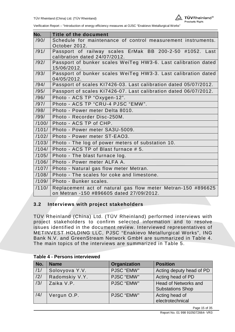

| No.   | <b>Title of the document</b>                                                  |  |  |
|-------|-------------------------------------------------------------------------------|--|--|
| /90/  | Schedule for maintenance of control measurement instruments.                  |  |  |
|       | October 2012.                                                                 |  |  |
| /91/  | Passport of railway scales ErMak BB 200-2-50 #1052. Last                      |  |  |
|       | calibration dated 24/07/2012.                                                 |  |  |
| /92/  | Passport of bunker scales WeiTeg HW3-6. Last calibration dated                |  |  |
| /93/  | 15/06/2012.                                                                   |  |  |
|       | Passport of bunker scales WeiTeg HW3-3. Last calibration dated<br>04/05/2012. |  |  |
| /94/  | Passport of scales KI7426-03. Last calibration dated 05/07/2012.              |  |  |
| /95/  | Passport of scales KI7426-07. Last calibration dated 06/07/2012.              |  |  |
| /96/  | Photo - ACS TP "Oxygen-12".                                                   |  |  |
| /97/  | Photo - ACS TP "CRU-4 PJSC "EMW".                                             |  |  |
| /98/  | Photo - Power meter Delta 8010.                                               |  |  |
| /99/  | Photo - Recorder Disc-250M.                                                   |  |  |
| /100/ | Photo - ACS TP of CHP.                                                        |  |  |
| /101/ | Photo - Power meter SA3U-5009.                                                |  |  |
| /102/ | Photo - Power meter ST-EAO3.                                                  |  |  |
| /103/ | Photo - The log of power meters of substation 10.                             |  |  |
| /104/ | Photo - ACS TP of Blast furnace # 5.                                          |  |  |
| /105/ | Photo - The blast furnace log.                                                |  |  |
| /106/ | Photo - Power meter ALFA A.                                                   |  |  |
| /107/ | Photo - Natural gas flow meter Metran.                                        |  |  |
| /108/ | Photo - The scales for coke and limestone.                                    |  |  |
| /109/ | Photo - Bunker scales.                                                        |  |  |
| /110/ | Replacement act of natural gas flow meter Metran-150 #896625                  |  |  |
|       | on Metran -150 #896605 dated 27/09/2012.                                      |  |  |

#### **3.2 Interviews with project stakeholders**

TÜV Rheinland (China) Ltd. (TÜV Rheinland) performed interviews with project stakeholders to confirm selected information and to resolve issues identified in the document review. Interviewed representatives of METINVEST HOLDING LLC, PJSC "Enakievo Metallurgical Works", ING Bank N.V. and GreenStream Network GmbH are summarized in Table 4. The main topics of the interviews are summarized in Table 5.

#### **Table 4 - Persons interviewed**

| No. | <b>Name</b>    | Organization      | <b>Position</b>                                        |
|-----|----------------|-------------------|--------------------------------------------------------|
| /1/ | Solovyova Y.V. | PJSC "EMW"        | Acting deputy head of PD                               |
| /2/ | Radomskiy V.Y. | <b>PJSC "EMW"</b> | Acting head of PD                                      |
| /3/ | Zaika V.P.     | <b>PJSC "EMW"</b> | <b>Head of Networks and</b><br><b>Substations Shop</b> |
| /4/ | Vergun O.P.    | <b>PJSC "EMW"</b> | Acting head of<br>electrotechnical                     |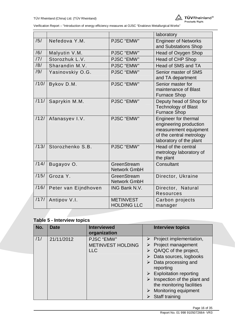

|      |                      |                                        | laboratory                                                                                                                     |
|------|----------------------|----------------------------------------|--------------------------------------------------------------------------------------------------------------------------------|
| /5/  | Nefedova Y.M.        | PJSC "EMW"                             | <b>Engineer of Networks</b><br>and Substations Shop                                                                            |
| /6/  | Malyutin V.M.        | PJSC "EMW"                             | Head of Oxygen Shop                                                                                                            |
| /7/  | Storozhuk L.V.       | PJSC "EMW"                             | <b>Head of CHP Shop</b>                                                                                                        |
| /8/  | Sharandin M.V.       | PJSC "EMW"                             | Head of SMS and TA                                                                                                             |
| /9/  | Yasinovskiy O.G.     | PJSC "EMW"                             | Senior master of SMS<br>and TA department                                                                                      |
| /10/ | Bykov D.M.           | PJSC "EMW"                             | Senior master for<br>maintenance of Blast<br><b>Furnace Shop</b>                                                               |
| /11/ | Saprykin M.M.        | PJSC "EMW"                             | Deputy head of Shop for<br><b>Technology of Blast</b><br><b>Furnace Shop</b>                                                   |
| /12/ | Afanasyev I.V.       | PJSC "EMW"                             | Engineer for thermal<br>engineering production<br>measurement equipment<br>of the central metrology<br>laboratory of the plant |
| /13/ | Storozhenko S.B.     | PJSC "EMW"                             | Head of the central<br>metrology laboratory of<br>the plant                                                                    |
| /14/ | Bugayov O.           | GreenStream<br><b>Network GmbH</b>     | Consultant                                                                                                                     |
| /15/ | Groza Y.             | GreenStream<br><b>Network GmbH</b>     | Director, Ukraine                                                                                                              |
| /16/ | Peter van Eijndhoven | ING Bank N.V.                          | Director, Natural<br><b>Resources</b>                                                                                          |
| /17/ | Antipov V.I.         | <b>METINVEST</b><br><b>HOLDING LLC</b> | Carbon projects<br>manager                                                                                                     |

# **Table 5 - Interview topics**

| No. | <b>Date</b> | <b>Interviewed</b><br>organization | <b>Interview topics</b>                                  |
|-----|-------------|------------------------------------|----------------------------------------------------------|
| /1/ | 21/11/2012  | PJSC "EMW"                         | $\triangleright$ Project implementation,                 |
|     |             | <b>METINVEST HOLDING</b>           | Project management                                       |
|     |             | <b>LLC</b>                         | $\triangleright$ QA/QC of the project,                   |
|     |             |                                    | Data sources, logbooks                                   |
|     |             |                                    | Data processing and                                      |
|     |             |                                    | reporting                                                |
|     |             |                                    | $\triangleright$ Exploitation reporting                  |
|     |             |                                    | Inspection of the plant and<br>the monitoring facilities |
|     |             |                                    | Monitoring equipment                                     |
|     |             |                                    | Staff training                                           |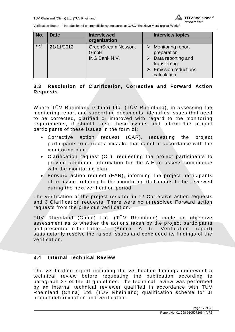

| No. | <b>Date</b> | <b>Interviewed</b><br>organization                  | <b>Interview topics</b>                                                                                                              |
|-----|-------------|-----------------------------------------------------|--------------------------------------------------------------------------------------------------------------------------------------|
| /2/ | 21/11/2012  | <b>GreenStream Network</b><br>GmbH<br>ING Bank N.V. | $\triangleright$ Monitoring report<br>preparation<br>Data reporting and<br>transferring<br><b>Emission reductions</b><br>calculation |

## **3.3 Resolution of Clarification, Corrective and Forward Action Requests**

Where TÜV Rheinland (China) Ltd. (TÜV Rheinland), in assessing the monitoring report and supporting documents, identifies issues that need to be corrected, clarified or improved with regard to the monitoring requirements, it should raise these issues and inform the project participants of these issues in the form of:

- Corrective action request (CAR), requesting the project participants to correct a mistake that is not in accordance with the monitoring plan;
- Clarification request (CL), requesting the project participants to provide additional information for the AIE to assess compliance with the monitoring plan;
- $\bullet$  Forward action request (FAR), informing the project participants of an issue, relating to the monitoring that needs to be reviewed during the next verification period.

The verification of the project resulted in 12 Corrective action requests and 6 Clarification requests. There were no unresolved Forward action requests from the previous verification.

TÜV Rheinland (China) Ltd. (TÜV Rheinland) made an objective assessment as to whether the actions taken by the project participants and presented in the Table 1 (Annex A to Verification report) satisfactorily resolve the raised issues and concluded its findings of the verification.

## **3.4 Internal Technical Review**

The verification report including the verification findings underwent a technical review before requesting the publication according to paragraph 37 of the JI guidelines. The technical review was performed by an internal technical reviewer qualified in accordance with TÜV Rheinland (China) Ltd. (TÜV Rheinland) qualification scheme for JI project determination and verification.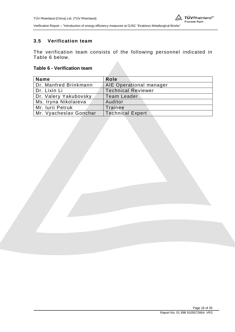## **3.5 Verification team**

The verification team consists of the following personnel indicated in Table 6 below.

#### **Table 6 - Verification team**

| <b>Name</b>            | Role                      |
|------------------------|---------------------------|
| Dr. Manfred Brinkmann  | AIE Operational manager   |
| Dr. Lixin Li           | <b>Technical Reviewer</b> |
| Dr. Valery Yakubovsky  | <b>Team Leader</b>        |
| Ms. Iryna Nikolaieva   | Auditor                   |
| Mr. Iurii Petruk       | Trainee                   |
| Mr. Vyacheslav Gonchar | <b>Technical Expert</b>   |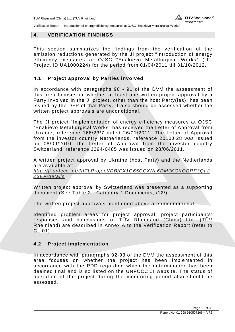

#### **4. VERIFICATION FINDINGS**

This section summarizes the findings from the verification of the emission reductions generated by the JI project "Introduction of energy efficiency measures at OJSC "Enakievo Metallurgical Works" (ITL Project ID UA1000224) for the period from 01/04/2011 till 31/10/2012.

#### **4.1 Project approval by Parties involved**

In accordance with paragraphs 90 - 91 of the DVM the assessment of this area focuses on whether at least one written project approval by a Party involved in the JI project, other than the host Party(ies), has been issued by the DFP of that Party. It also should be assessed whether the written project approvals are unconditional.

The JI project "Implementation of energy efficiency measures at OJSC "Enakievo Metallurgical Works" has received the Letter of Approval from Ukraine, reference 166/23/7 dated 26/01/2011. The Letter of Approval from the investor country Netherlands, reference 2010JI28 was issued on 08/09/2010, the Letter of Approval from the investor country Switzerland, reference J294-0485 was issued on 28/06/2011.

A written project approval by Ukraine (host Party) and the Netherlands are available at:

*http://ji.unfccc.int/JIITLProject/DB/FX1G65CCXNL6DMJKCKODRF3QL2 Z3EF/details* 

Written project approval by Switzerland was presented as a supporting document (See Table 2 - Category 1 Documents, /12/).

The written project approvals mentioned above are unconditional.

Identified problem areas for project approval, project participants' responses and conclusions of TÜV Rheinland (China) Ltd. (TÜV Rheinland) are described in Annex A to the Verification Report (refer to CL 01).

#### **4.2 Project implementation**

In accordance with paragraphs 92-93 of the DVM the assessment of this area focuses on whether the project has been implemented in accordance with the PDD regarding which the determination has been deemed final and is so listed on the UNFCCC JI website. The status of operation of the project during the monitoring period also should be assessed.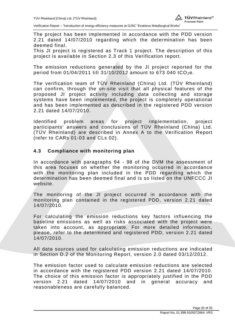The project has been implemented in accordance with the PDD version 2.21 dated 14/07/2010 regarding which the determination has been deemed final.

This JI project is registered as Track 1 project. The description of this project is available in Section 2.3 of this Verification report.

The emission reductions generated by the JI project reported for the period from 01/04/2011 till 31/10/2012 amount to 673 040 tCO<sub>2</sub>e.

The verification team of TÜV Rheinland (China) Ltd. (TÜV Rheinland) can confirm, through the on-site visit that all physical features of the proposed JI project activity including data collecting and storage systems have been implemented, the project is completely operational and has been implemented as described in the registered PDD version 2.21 dated 14/07/2010.

Identified problem areas for project implementation, project participants' answers and conclusions of TÜV Rheinland (China) Ltd. (TÜV Rheinland) are described in Annex A to the Verification Report (refer to CARs 01-03 and CLs 02).

### **4.3 Compliance with monitoring plan**

In accordance with paragraphs 94 - 98 of the DVM the assessment of this area focuses on whether the monitoring occurred in accordance with the monitoring plan included in the PDD regarding which the determination has been deemed final and is so listed on the UNFCCC JI website.

The monitoring of the JI project occurred in accordance with the monitoring plan contained in the registered PDD, version 2.21 dated 14/07/2010.

For calculating the emission reductions key factors influencing the baseline emissions as well as risks associated with the project were taken into account, as appropriate. For more detailed information, please, refer to the determined and registered PDD, version 2.21 dated 14/07/2010.

All data sources used for calculating emission reductions are indicated in Section D.2 of the Monitoring Report, version 2.0 dated 03/12/2012.

The emission factor used to calculate emission reductions are selected in accordance with the registered PDD version 2.21 dated 14/07/2010. The choice of this emission factor is appropriately justified in the PDD version 2.21 dated 14/07/2010 and in general accuracy and reasonableness are carefully balanced.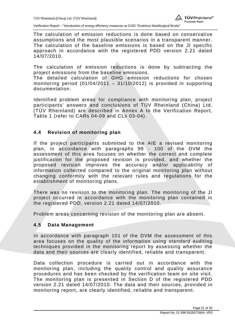The calculation of emission reductions is done based on conservative assumptions and the most plausible scenarios in a transparent manner. The calculation of the baseline emissions is based on the JI specific approach in accordance with the registered PDD version 2.21 dated 14/07/2010.

The calculation of emission reductions is done by subtracting the project emissions from the baseline emissions.

The detailed calculation of GHG emission reductions for chosen monitoring period (01/04/2011 – 31/10/2012) is provided in supporting documentation.

Identified problem areas for compliance with monitoring plan, project participants' answers and conclusions of TÜV Rheinland (China) Ltd. (TÜV Rheinland) are described in Annex A to the Verification Report, Table 1 (refer to CARs 04-09 and CLs 03-04).

### **4.4 Revision of monitoring plan**

If the project participants submitted to the AIE a revised monitoring plan, in accordance with paragraphs 99 - 100 of the DVM the assessment of this area focuses on whether the correct and complete justification for the proposed revision is provided, and whether the proposed revision improves the accuracy and/or applicability of information collected compared to the original monitoring plan without changing conformity with the relevant rules and regulations for the establishment of monitoring plans.

There was no revision to the monitoring plan. The monitoring of the JI project occurred in accordance with the monitoring plan contained in the registered PDD, version 2.21 dated 14/07/2010.

Problem areas concerning revision of the monitoring plan are absent.

#### **4.5 Data Management**

In accordance with paragraph 101 of the DVM the assessment of this area focuses on the quality of the information using standard auditing techniques provided in the monitoring report by assessing whether the data and their sources are clearly identified, reliable and transparent.

Data collection procedure is carried out in accordance with the monitoring plan, including the quality control and quality assurance procedures and has been checked by the verification team on site visit. The monitoring plan is presented in Section D of the registered PDD version 2.21 dated 14/07/2010. The data and their sources, provided in monitoring report, are clearly identified, reliable and transparent.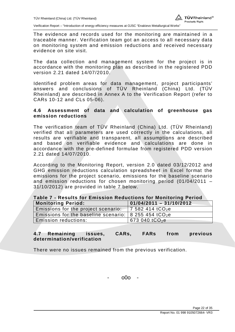The evidence and records used for the monitoring are maintained in a traceable manner. Verification team got an access to all necessary data on monitoring system and emission reductions and received necessary evidence on site visit.

The data collection and management system for the project is in accordance with the monitoring plan as described in the registered PDD version 2.21 dated 14/07/2010.

Identified problem areas for data management, project participants' answers and conclusions of TÜV Rheinland (China) Ltd. (TÜV Rheinland) are described in Annex A to the Verification Report (refer to CARs 10-12 and CLs 05-06).

#### **4.6 Assessment of data and calculation of greenhouse gas emission reductions**

The verification team of TÜV Rheinland (China) Ltd. (TÜV Rheinland) verified that all parameters are used correctly in the calculations, all results are verifiable and transparent, all assumptions are described and based on verifiable evidence and calculations are done in accordance with the pre-defined formulae from registered PDD version 2.21 dated 14/07/2010.

According to the Monitoring Report, version 2.0 dated 03/12/2012 and GHG emission reductions calculation spreadsheet in Excel format the emissions for the project scenario, emissions for the baseline scenario and emission reductions for chosen monitoring period (01/04/2011 – 31/10/2012) are provided in table 7 below.

| Table 7 - Results for Emission Reductions for Monitoring Period                |                                      |  |  |  |  |
|--------------------------------------------------------------------------------|--------------------------------------|--|--|--|--|
| <b>Monitoring Period:</b>                                                      | $\overline{01/04/2011} - 31/10/2012$ |  |  |  |  |
| Emissions for the project scenario: $\frac{1}{2}$ 7 582 414 tCO <sub>2</sub> e |                                      |  |  |  |  |
| Emissions for the baseline scenario:   8 255 454 $tCO2e$                       |                                      |  |  |  |  |
| Emission reductions:                                                           | 673 040 tCO <sub>2</sub> e           |  |  |  |  |

### **4.7 Remaining issues, CARs, FARs from previous determination/verification**

There were no issues remained from the previous verification.

- o0o -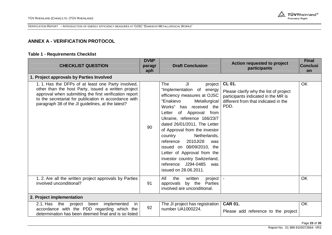

## **ANNEX A - VERIFICATION PROTOCOL**

#### **Table 1 - Requirements Checklist**

| <b>CHECKLIST QUESTION</b>                                                                                                                                                                                                                                                        | DVM*<br>paragr<br>aph | <b>Draft Conclusion</b>                                                                                                                                                                                                                                                                                                                                                                                                                                                                             | Action requested to project<br>participants                                                                                             | <b>Final</b><br><b>Conclusi</b><br>on |
|----------------------------------------------------------------------------------------------------------------------------------------------------------------------------------------------------------------------------------------------------------------------------------|-----------------------|-----------------------------------------------------------------------------------------------------------------------------------------------------------------------------------------------------------------------------------------------------------------------------------------------------------------------------------------------------------------------------------------------------------------------------------------------------------------------------------------------------|-----------------------------------------------------------------------------------------------------------------------------------------|---------------------------------------|
| 1. Project approvals by Parties Involved                                                                                                                                                                                                                                         |                       |                                                                                                                                                                                                                                                                                                                                                                                                                                                                                                     |                                                                                                                                         |                                       |
| 1.1. Has the DFPs of at least one Party involved,<br>other than the host Party, issued a written project<br>approval when submitting the first verification report<br>to the secretariat for publication in accordance with<br>paragraph 38 of the JI guidelines, at the latest? | 90                    | <b>The</b><br>JI<br>project<br>"Implementation of energy<br>efficiency measures at OJSC<br>"Enakievo<br>Metallurgical<br>received the<br>Works" has<br>of Approval from<br>Letter<br>Ukraine, reference 166/23/7<br>dated 26/01/2011. The Letter<br>of Approval from the investor<br>Netherlands,<br>country<br>reference<br>2010JI28<br>was<br>issued on 08/09/2010, the<br>Letter of Approval from the<br>investor country Switzerland,<br>J294-0485<br>reference<br>was<br>issued on 28.06.2011. | CL 01.<br>Please clarify why the list of project<br>participants indicated in the MR is<br>different from that indicated in the<br>PDD. | OK                                    |
| 1.2. Are all the written project approvals by Parties<br>involved unconditional?                                                                                                                                                                                                 | 91                    | All<br>written<br>project<br>the<br>Parties<br>approvals<br>by the<br>involved are unconditional.                                                                                                                                                                                                                                                                                                                                                                                                   |                                                                                                                                         | <b>OK</b>                             |
| 2. Project implementation                                                                                                                                                                                                                                                        |                       |                                                                                                                                                                                                                                                                                                                                                                                                                                                                                                     |                                                                                                                                         |                                       |
| 2.1. Has the<br>implemented<br>project<br>been<br>in<br>accordance with the PDD regarding which the<br>determination has been deemed final and is so listed                                                                                                                      | 92                    | The JI project has registration<br>number UA1000224.                                                                                                                                                                                                                                                                                                                                                                                                                                                | <b>CAR 01.</b><br>Please add reference to the project                                                                                   | OK                                    |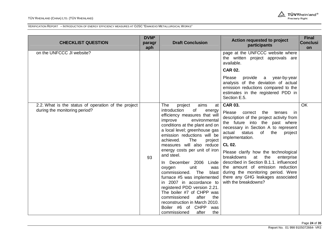#### TÜV RHEINLAND (CHINA) LTD. (TÜV RHEINLAND)



| <b>CHECKLIST QUESTION</b>                                                            | DVM*<br>paragr<br>aph | <b>Draft Conclusion</b>                                                                                                                                                                                                                                                                                                                                                                                                                                                                                                                                                                                                                                                           | Action requested to project<br>participants                                                                                                                                                                                                                                                                                                                                                                                                                                                                                | <b>Final</b><br><b>Conclusi</b><br>on |
|--------------------------------------------------------------------------------------|-----------------------|-----------------------------------------------------------------------------------------------------------------------------------------------------------------------------------------------------------------------------------------------------------------------------------------------------------------------------------------------------------------------------------------------------------------------------------------------------------------------------------------------------------------------------------------------------------------------------------------------------------------------------------------------------------------------------------|----------------------------------------------------------------------------------------------------------------------------------------------------------------------------------------------------------------------------------------------------------------------------------------------------------------------------------------------------------------------------------------------------------------------------------------------------------------------------------------------------------------------------|---------------------------------------|
| on the UNFCCC JI website?                                                            |                       |                                                                                                                                                                                                                                                                                                                                                                                                                                                                                                                                                                                                                                                                                   | page at the UNFCCC website where<br>the written project approvals are<br>available.                                                                                                                                                                                                                                                                                                                                                                                                                                        |                                       |
|                                                                                      |                       |                                                                                                                                                                                                                                                                                                                                                                                                                                                                                                                                                                                                                                                                                   | <b>CAR 02.</b>                                                                                                                                                                                                                                                                                                                                                                                                                                                                                                             |                                       |
|                                                                                      |                       |                                                                                                                                                                                                                                                                                                                                                                                                                                                                                                                                                                                                                                                                                   | Please<br>provide a year-by-year<br>analysis of the deviation of actual<br>emission reductions compared to the<br>estimates in the registered PDD in<br>Section E.5.                                                                                                                                                                                                                                                                                                                                                       |                                       |
| 2.2. What is the status of operation of the project<br>during the monitoring period? | 93                    | aims<br>The<br>project<br>at<br>introduction<br>of<br>energy<br>efficiency measures that will<br>improve<br>environmental<br>conditions at the plant and on<br>a local level; greenhouse gas<br>emission reductions will be<br>The<br>achieved.<br>project<br>measures will also reduce<br>energy costs per unit of iron<br>and steel.<br>In December 2006<br>Linde<br>unit<br>oxygen<br>was<br>commissioned.<br>The<br>blast<br>furnace #5 was implemented<br>in 2007 in accordance to<br>registered PDD version 2.21.<br>The boiler #7 of CHPP was<br>commissioned<br>after<br>the<br>reconstruction in March 2010.<br>Boiler #6 of CHPP<br>was<br>after<br>the<br>commissioned | <b>CAR 03.</b><br>Please<br>correct<br>the<br>tenses<br>in<br>description of the project activity from<br>the future into the past where<br>necessary in Section A to represent<br>actual<br>status<br>of<br>the<br>project<br>implementation.<br>CL 02.<br>Please clarify how the technological<br>breakdowns<br>the<br>at<br>enterprise<br>described in Section B.1.1. influenced<br>the amount of emission reduction<br>during the monitoring period. Were<br>there any GHG leakages associated<br>with the breakdowns? | <b>OK</b>                             |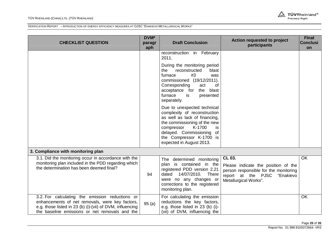#### TÜV RHEINLAND (CHINA) LTD. (TÜV RHEINLAND)



| <b>CHECKLIST QUESTION</b>                                                                                                                                                                                         | DVM*<br>paragr<br>aph | <b>Draft Conclusion</b>                                                                                                                                                                                                    | Action requested to project<br>participants                                                                                                        | <b>Final</b><br><b>Conclusi</b><br>on |
|-------------------------------------------------------------------------------------------------------------------------------------------------------------------------------------------------------------------|-----------------------|----------------------------------------------------------------------------------------------------------------------------------------------------------------------------------------------------------------------------|----------------------------------------------------------------------------------------------------------------------------------------------------|---------------------------------------|
|                                                                                                                                                                                                                   |                       | reconstruction in February<br>2011.<br>During the monitoring period<br>reconstructed<br>the<br>blast<br>#3<br>furnace<br>was<br>commissioned (19/12/2011).<br>Corresponding<br>of<br>act<br>blast<br>acceptance for<br>the |                                                                                                                                                    |                                       |
|                                                                                                                                                                                                                   |                       | furnace<br>is<br>presented<br>separately.<br>Due to unexpected technical                                                                                                                                                   |                                                                                                                                                    |                                       |
|                                                                                                                                                                                                                   |                       | complexity of reconstruction<br>as well as lack of financing,<br>the commissioning of the new<br>K-1700<br>compressor<br>is<br>delayed. Commissioning<br>of<br>the Compressor K-1700 is<br>expected in August 2013.        |                                                                                                                                                    |                                       |
| 3. Compliance with monitoring plan                                                                                                                                                                                |                       |                                                                                                                                                                                                                            |                                                                                                                                                    |                                       |
| 3.1. Did the monitoring occur in accordance with the<br>monitoring plan included in the PDD regarding which<br>the determination has been deemed final?                                                           | 94                    | The determined monitoring<br>plan is contained in the<br>registered PDD version 2.21<br>14/07/2010.<br>dated<br><b>There</b><br>were no any changes or<br>corrections to the registered<br>monitoring plan.                | CL 03.<br>Please indicate the position of the<br>person responsible for the monitoring<br>report at the PJSC<br>"Enakievo<br>Metallurgical Works". | OK                                    |
| 3.2. For calculating the emission reductions or<br>enhancements of net removals, were key factors,<br>e.g. those listed in 23 (b) (i)-(vii) of DVM, influencing<br>the baseline emissions or net removals and the | 95(a)                 | For calculating the emission<br>reductions the key factors,<br>e.g. those listed in 23 (b) (i)-<br>(vii) of DVM, influencing the                                                                                           |                                                                                                                                                    | OK                                    |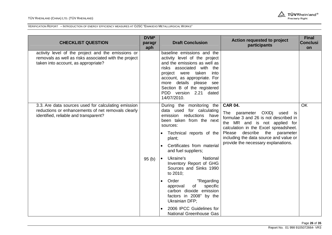

| baseline emissions and the<br>activity level of the project and the emissions or<br>removals as well as risks associated with the project<br>activity level of the project<br>and the emissions as well as<br>taken into account, as appropriate?<br>risks associated with the<br>project were taken<br>into<br>account, as appropriate. For<br>more details please see<br>Section B of the registered<br>PDD version 2.21 dated<br>14/07/2010.<br><b>CAR 04.</b><br><b>OK</b><br>During the monitoring the<br>3.3. Are data sources used for calculating emission                                                                                                                                                                                                                                                                     | <b>CHECKLIST QUESTION</b> | DVM*<br>paragr<br>aph | <b>Draft Conclusion</b> | Action requested to project<br>participants | <b>Final</b><br><b>Conclusi</b><br>on |
|----------------------------------------------------------------------------------------------------------------------------------------------------------------------------------------------------------------------------------------------------------------------------------------------------------------------------------------------------------------------------------------------------------------------------------------------------------------------------------------------------------------------------------------------------------------------------------------------------------------------------------------------------------------------------------------------------------------------------------------------------------------------------------------------------------------------------------------|---------------------------|-----------------------|-------------------------|---------------------------------------------|---------------------------------------|
|                                                                                                                                                                                                                                                                                                                                                                                                                                                                                                                                                                                                                                                                                                                                                                                                                                        |                           |                       |                         |                                             |                                       |
| reductions or enhancements of net removals clearly<br>data used for calculating<br>The<br>parameter OXIDj used<br>is<br>identified, reliable and transparent?<br>reductions<br>emission<br>have<br>formulae 3 and 26 is not described in<br>been taken from the next<br>the MR and is not applied for<br>sources:<br>calculation in the Excel spreadsheet.<br>Please describe the<br>parameter<br>Technical reports of the<br>including the data source and value or<br>plant;<br>provide the necessary explanations.<br>Certificates from material<br>and fuel suppliers;<br>Ukraine's<br>National<br>95(b)<br>Inventory Report of GHG<br>Sources and Sinks 1990<br>to 2010;<br>"Regarding<br>Order<br>specific<br>approval<br>of<br>carbon dioxide emission<br>factors in 2008" by the<br>Ukrainian DFP;<br>2006 IPCC Guidelines for |                           |                       |                         |                                             |                                       |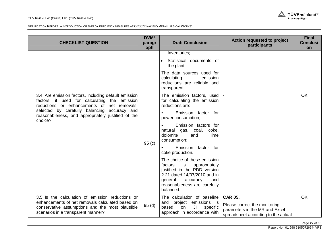#### TÜV RHEINLAND (CHINA) LTD. (TÜV RHEINLAND)



| <b>CHECKLIST QUESTION</b>                                                                                                                                                                      | DVM*<br>paragr<br>aph | <b>Draft Conclusion</b>                                                                                                                                                                                   | Action requested to project<br>participants                                                                              | <b>Final</b><br><b>Conclusi</b><br>on |
|------------------------------------------------------------------------------------------------------------------------------------------------------------------------------------------------|-----------------------|-----------------------------------------------------------------------------------------------------------------------------------------------------------------------------------------------------------|--------------------------------------------------------------------------------------------------------------------------|---------------------------------------|
|                                                                                                                                                                                                |                       | Inventories;<br>Statistical documents of<br>the plant.<br>The data sources used for                                                                                                                       |                                                                                                                          |                                       |
|                                                                                                                                                                                                |                       | calculating<br>emission<br>reductions are reliable and<br>transparent.                                                                                                                                    |                                                                                                                          |                                       |
| 3.4. Are emission factors, including default emission<br>factors, if used for calculating the emission<br>reductions or enhancements of net removals,                                          |                       | The emission factors, used<br>for calculating the emission<br>reductions are:                                                                                                                             |                                                                                                                          | OK                                    |
| selected by carefully balancing accuracy and<br>reasonableness, and appropriately justified of the<br>choice?                                                                                  |                       | Emission factor for<br>power consumption;                                                                                                                                                                 |                                                                                                                          |                                       |
|                                                                                                                                                                                                | 95(c)                 | Emission factors for<br>natural gas, coal,<br>coke.<br>dolomite<br>and<br>lime<br>consumption;                                                                                                            |                                                                                                                          |                                       |
|                                                                                                                                                                                                |                       | Emission factor for<br>coke production.                                                                                                                                                                   |                                                                                                                          |                                       |
|                                                                                                                                                                                                |                       | The choice of these emission<br>factors<br>is<br>appropriately<br>justified in the PDD version<br>2.21 dated 14/07/2010 and in<br>general<br>accuracy<br>and<br>reasonableness are carefully<br>balanced. |                                                                                                                          |                                       |
| 3.5. Is the calculation of emission reductions or<br>enhancements of net removals calculated based on<br>conservative assumptions and the most plausible<br>scenarios in a transparent manner? | 95(d)                 | The calculation of baseline<br>and<br>project emissions is<br>JI<br>based<br>on<br>specific<br>approach in accordance with                                                                                | <b>CAR 05.</b><br>Please correct the monitoring<br>parameters in the MR and Excel<br>spreadsheet according to the actual | OK                                    |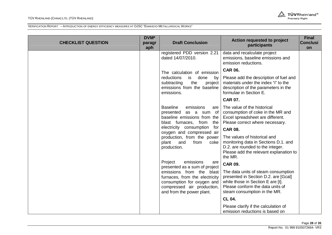#### TÜV RHEINLAND (CHINA) LTD. (TÜV RHEINLAND)



| <b>CHECKLIST QUESTION</b> | DVM*<br>paragr<br>aph | <b>Draft Conclusion</b>                                                                                                                                                                                                    | Action requested to project<br>participants                                                                                                                                               | <b>Final</b><br><b>Conclusi</b><br>on |
|---------------------------|-----------------------|----------------------------------------------------------------------------------------------------------------------------------------------------------------------------------------------------------------------------|-------------------------------------------------------------------------------------------------------------------------------------------------------------------------------------------|---------------------------------------|
|                           |                       | registered PDD version 2.21<br>dated 14/07/2010.                                                                                                                                                                           | data and recalculate project<br>emissions, baseline emissions and<br>emission reductions.                                                                                                 |                                       |
|                           |                       | The calculation of emission                                                                                                                                                                                                | <b>CAR 06.</b>                                                                                                                                                                            |                                       |
|                           |                       | reductions<br>is<br>done<br>by<br>the<br>subtracting<br>project<br>emissions from the baseline<br>emissions.                                                                                                               | Please add the description of fuel and<br>materials under the index "i" to the<br>description of the parameters in the<br>formulae in Section E.                                          |                                       |
|                           |                       |                                                                                                                                                                                                                            | <b>CAR 07.</b>                                                                                                                                                                            |                                       |
|                           |                       | <b>Baseline</b><br>emissions<br>are<br>presented<br>as a sum of<br>baseline emissions from the<br>blast furnaces, from<br>the<br>electricity consumption<br>for<br>oxygen and compressed air<br>production, from the power | The value of the historical<br>consumption of coke in the MR and<br>Excel spreadsheet are different.<br>Please correct where necessary.<br><b>CAR 08.</b><br>The values of historical and |                                       |
|                           |                       | plant<br>and<br>from<br>coke<br>production.                                                                                                                                                                                | monitoring data in Sections D.1. and<br>D.2. are rounded to the integer.<br>Please add the relevant explanation to<br>the MR.                                                             |                                       |
|                           |                       | Project<br>emissions<br>are<br>presented as a sum of project                                                                                                                                                               | <b>CAR 09.</b>                                                                                                                                                                            |                                       |
|                           |                       | emissions from the blast<br>furnaces, from the electricity<br>consumption for oxygen and<br>compressed air production,<br>and from the power plant.                                                                        | The data units of steam consumption<br>presented in Section D.2. are [Gcal]<br>while those in Section E are [t].<br>Please conform the data units of<br>steam consumption in the MR.      |                                       |
|                           |                       |                                                                                                                                                                                                                            | <b>CL 04.</b>                                                                                                                                                                             |                                       |
|                           |                       |                                                                                                                                                                                                                            | Please clarify if the calculation of<br>emission reductions is based on                                                                                                                   |                                       |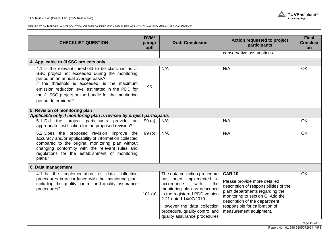

| <b>CHECKLIST QUESTION</b>                                                                                                                                                                                                                                                                                                       | DVM*<br>paragr<br>aph | <b>Draft Conclusion</b>                                                                                                                                                                                                                                                           | Action requested to project<br>participants                                                                                                                                                                                                                  | <b>Final</b><br><b>Conclusi</b><br>on |  |  |
|---------------------------------------------------------------------------------------------------------------------------------------------------------------------------------------------------------------------------------------------------------------------------------------------------------------------------------|-----------------------|-----------------------------------------------------------------------------------------------------------------------------------------------------------------------------------------------------------------------------------------------------------------------------------|--------------------------------------------------------------------------------------------------------------------------------------------------------------------------------------------------------------------------------------------------------------|---------------------------------------|--|--|
|                                                                                                                                                                                                                                                                                                                                 |                       |                                                                                                                                                                                                                                                                                   | conservative assumptions.                                                                                                                                                                                                                                    |                                       |  |  |
| 4. Applicable to JI SSC projects only                                                                                                                                                                                                                                                                                           |                       |                                                                                                                                                                                                                                                                                   |                                                                                                                                                                                                                                                              |                                       |  |  |
| 4.1. Is the relevant threshold to be classified as JI<br>SSC project not exceeded during the monitoring<br>period on an annual average basis?<br>If the threshold is exceeded, is the maximum<br>emission reduction level estimated in the PDD for<br>the JI SSC project or the bundle for the monitoring<br>period determined? | 96                    | N/A                                                                                                                                                                                                                                                                               | N/A                                                                                                                                                                                                                                                          | OK                                    |  |  |
| 5. Revision of monitoring plan<br>Applicable only if monitoring plan is revised by project participants                                                                                                                                                                                                                         |                       |                                                                                                                                                                                                                                                                                   |                                                                                                                                                                                                                                                              |                                       |  |  |
| 5.1. Did the project participants provide an<br>appropriate justification for the proposed revision?                                                                                                                                                                                                                            | 99(a)                 | N/A                                                                                                                                                                                                                                                                               | N/A                                                                                                                                                                                                                                                          | OK                                    |  |  |
| 5.2. Does the proposed revision improve the<br>accuracy and/or applicability of information collected<br>compared to the original monitoring plan without<br>changing conformity with the relevant rules and<br>regulations for the establishment of monitoring<br>plans?                                                       | 99(b)                 | N/A                                                                                                                                                                                                                                                                               | N/A                                                                                                                                                                                                                                                          | <b>OK</b>                             |  |  |
| 6. Data management                                                                                                                                                                                                                                                                                                              |                       |                                                                                                                                                                                                                                                                                   |                                                                                                                                                                                                                                                              |                                       |  |  |
| 4.1. Is the implementation of data collection<br>procedures in accordance with the monitoring plan,<br>including the quality control and quality assurance<br>procedures?                                                                                                                                                       | 101 $(a)$             | The data collection procedure<br>has been implemented in<br>with<br>accordance<br>the<br>monitoring plan as described<br>in the registered PDD version<br>2.21 dated 14/07/2010.<br>However the data collection<br>procedure, quality control and<br>quality assurance procedures | <b>CAR 10.</b><br>Please provide more detailed<br>description of responsibilities of the<br>plant departments regarding the<br>monitoring to section C. Add the<br>description of the department<br>responsible for calibration of<br>measurement equipment. | OK                                    |  |  |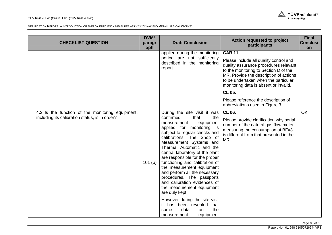#### TÜV RHEINLAND (CHINA) LTD. (TÜV RHEINLAND)



| <b>CHECKLIST QUESTION</b>                                                                           | DVM*<br>paragr<br>aph | <b>Draft Conclusion</b>                                                                                                                                                                                                                                                                                                                                                                                                                                                                                                                                                                                                                            | <b>Action requested to project</b><br>participants                                                                                                                                                                                                                    | <b>Final</b><br><b>Conclusi</b><br>on |
|-----------------------------------------------------------------------------------------------------|-----------------------|----------------------------------------------------------------------------------------------------------------------------------------------------------------------------------------------------------------------------------------------------------------------------------------------------------------------------------------------------------------------------------------------------------------------------------------------------------------------------------------------------------------------------------------------------------------------------------------------------------------------------------------------------|-----------------------------------------------------------------------------------------------------------------------------------------------------------------------------------------------------------------------------------------------------------------------|---------------------------------------|
|                                                                                                     |                       | applied during the monitoring<br>period are not sufficiently<br>described in the monitoring<br>report.                                                                                                                                                                                                                                                                                                                                                                                                                                                                                                                                             | <b>CAR 11.</b><br>Please include all quality control and<br>quality assurance procedures relevant<br>to the monitoring to Section D of the<br>MR. Provide the description of actions<br>to be undertaken when the particular<br>monitoring data is absent or invalid. |                                       |
|                                                                                                     |                       |                                                                                                                                                                                                                                                                                                                                                                                                                                                                                                                                                                                                                                                    | CL 05.                                                                                                                                                                                                                                                                |                                       |
|                                                                                                     |                       |                                                                                                                                                                                                                                                                                                                                                                                                                                                                                                                                                                                                                                                    | Please reference the description of<br>abbreviations used in Figure 3.                                                                                                                                                                                                |                                       |
| 4.2. Is the function of the monitoring equipment,<br>including its calibration status, is in order? | 101(b)                | During the site visit it was<br>confirmed<br>that<br>the<br>equipment<br>measurement<br>applied for monitoring is<br>subject to regular checks and<br>calibrations. The Shop of<br>Measurement Systems and<br>Thermal Automatic and the<br>central laboratory of the plant<br>are responsible for the proper<br>functioning and calibration of<br>the measurement equipment<br>and perform all the necessary<br>procedures. The passports<br>and calibration evidences of<br>the measurement equipment<br>are duly kept.<br>However during the site visit<br>it has been revealed<br>that<br>the<br>data<br>some<br>on<br>equipment<br>measurement | CL 06.<br>Please provide clarification why serial<br>number of the natural gas flow meter<br>measuring the consumption at BF#3<br>is different from that presented in the<br>MR.                                                                                      | <b>OK</b>                             |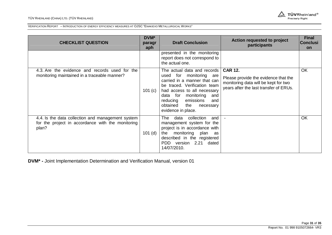#### TÜV RHEINLAND (CHINA) LTD. (TÜV RHEINLAND)



VERIFICATION REPORT – INTRODUCTION OF ENERGY EFFICIENCY MEASURES AT OJSC "ENAKIEVO METALLURGICAL WORKS"

| <b>CHECKLIST QUESTION</b>                                                                                       | DVM*<br>paragr<br>aph | <b>Draft Conclusion</b>                                                                                                                                                                                                                                                         | Action requested to project<br>participants                                                                                              | <b>Final</b><br><b>Conclusi</b><br><b>on</b> |
|-----------------------------------------------------------------------------------------------------------------|-----------------------|---------------------------------------------------------------------------------------------------------------------------------------------------------------------------------------------------------------------------------------------------------------------------------|------------------------------------------------------------------------------------------------------------------------------------------|----------------------------------------------|
|                                                                                                                 |                       | presented in the monitoring<br>report does not correspond to<br>the actual one.                                                                                                                                                                                                 |                                                                                                                                          |                                              |
| 4.3. Are the evidence and records used for the<br>monitoring maintained in a traceable manner?                  | 101 $(c)$             | The actual data and records<br>monitoring are<br>used for<br>carried in a manner that can<br>be traced. Verification team<br>had access to all necessary<br>data for<br>monitoring<br>and<br>emissions<br>reducing<br>and<br>obtained<br>the<br>necessary<br>evidence in place. | <b>CAR 12.</b><br>Please provide the evidence that the<br>monitoring data will be kept for two<br>years after the last transfer of ERUs. | OK                                           |
| 4.4. Is the data collection and management system<br>for the project in accordance with the monitoring<br>plan? | $101$ (d)             | data<br>collection<br>The<br>and<br>management system for the<br>project is in accordance with<br>monitoring<br>plan<br>the<br>as<br>described in the registered<br>PDD version 2.21 dated<br>14/07/2010.                                                                       |                                                                                                                                          | OK                                           |

**DVM\* -** Joint Implementation Determination and Verification Manual, version 01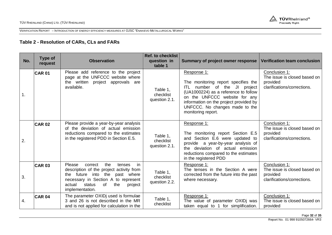

# **Table 2 - Resolution of CARs, CLs and FARs**

| No. | Type of<br>request | <b>Observation</b>                                                                                                                                                                                                              | <b>Ref. to checklist</b><br>question in<br>table 1 | <b>Summary of project owner response</b>                                                                                                                                                                                                                                | <b>Verification team conclusion</b>                                                      |
|-----|--------------------|---------------------------------------------------------------------------------------------------------------------------------------------------------------------------------------------------------------------------------|----------------------------------------------------|-------------------------------------------------------------------------------------------------------------------------------------------------------------------------------------------------------------------------------------------------------------------------|------------------------------------------------------------------------------------------|
| 1.  | <b>CAR 01</b>      | Please add reference to the project<br>page at the UNFCCC website where<br>the written project approvals are<br>available.                                                                                                      | Table 1,<br>checklist<br>question 2.1.             | Response 1:<br>The monitoring report specifies the<br><b>ITL</b><br>number of the JI project<br>(UA1000224) as a reference to follow<br>on the UNFCCC website for any<br>information on the project provided by<br>UNFCCC. No changes made to the<br>monitoring report. | Conclusion 1:<br>The issue is closed based on<br>provided<br>clarifications/corrections. |
| 2.  | <b>CAR 02</b>      | Please provide a year-by-year analysis<br>of the deviation of actual emission<br>reductions compared to the estimates<br>in the registered PDD in Section E.5.                                                                  | Table 1,<br>checklist<br>question 2.1.             | Response 1:<br>The monitoring report Section E.5<br>and Section E.6 were updated to<br>provide a year-by-year analysis of<br>the deviation of actual emission<br>reductions compared to the estimates<br>in the registered PDD                                          | Conclusion 1:<br>The issue is closed based on<br>provided<br>clarifications/corrections. |
| 3.  | <b>CAR 03</b>      | in<br>Please<br>the<br>correct<br>tenses<br>description of the project activity from<br>the future into the<br>past where<br>necessary in Section A to represent<br>status<br>of<br>the<br>actual<br>project<br>implementation. | Table 1,<br>checklist<br>question 2.2.             | Response 1:<br>The tenses in the Section A were<br>corrected from the future into the past<br>where necessary.                                                                                                                                                          | Conclusion 1:<br>The issue is closed based on<br>provided<br>clarifications/corrections. |
| 4.  | <b>CAR 04</b>      | The parameter OXIDj used is formulae<br>3 and 26 is not described in the MR<br>and is not applied for calculation in the                                                                                                        | Table 1,<br>checklist                              | Response 1:<br>The value of parameter OXIDj was<br>taken equal to 1 for simplification.                                                                                                                                                                                 | Conclusion 1:<br>The issue is closed based on<br>provided                                |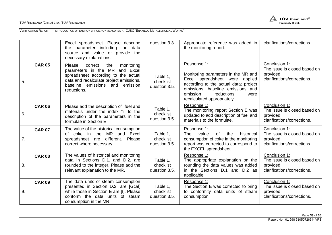

|                  |               | Excel spreadsheet. Please describe<br>the parameter including the data<br>source and value or provide the<br>necessary explanations.                                                                                | question 3.3.                          | Appropriate reference was added in<br>the monitoring report.                                                                                                                                                                        | clarifications/corrections.                                                              |
|------------------|---------------|---------------------------------------------------------------------------------------------------------------------------------------------------------------------------------------------------------------------|----------------------------------------|-------------------------------------------------------------------------------------------------------------------------------------------------------------------------------------------------------------------------------------|------------------------------------------------------------------------------------------|
| 5.               | <b>CAR 05</b> | <b>Please</b><br>the<br>monitoring<br>correct<br>parameters in the MR and Excel<br>spreadsheet according to the actual<br>data and recalculate project emissions,<br>baseline emissions and emission<br>reductions. | Table 1,<br>checklist<br>question 3.5. | Response 1:<br>Monitoring parameters in the MR and<br>Excel spreadsheet were applied<br>according to the actual data; project<br>emissions, baseline emissions and<br>emission<br>reductions<br>were<br>recalculated appropriately. | Conclusion 1:<br>The issue is closed based on<br>provided<br>clarifications/corrections. |
| 6.               | <b>CAR 06</b> | Please add the description of fuel and<br>materials under the index "i" to the<br>description of the parameters in the<br>formulae in Section E.                                                                    | Table 1,<br>checklist<br>question 3.5. | Response 1:<br>The monitoring report Section E was<br>updated to add description of fuel and<br>materials to the formulae.                                                                                                          | Conclusion 1:<br>The issue is closed based on<br>provided<br>clarifications/corrections. |
| $\overline{7}$ . | <b>CAR 07</b> | The value of the historical consumption<br>of coke in the MR and Excel<br>spreadsheet are different.<br>Please<br>correct where necessary.                                                                          | Table 1,<br>checklist<br>question 3.5. | Response 1:<br>value<br>$\circ$ f<br>the<br>The<br>historical<br>consumption of coke in the monitoring<br>report was corrected to correspond to<br>the EXCEL spreadsheet.                                                           | Conclusion 1:<br>The issue is closed based on<br>provided<br>clarifications/corrections. |
| 8.               | <b>CAR 08</b> | The values of historical and monitoring<br>data in Sections D.1. and D.2. are<br>rounded to the integer. Please add the<br>relevant explanation to the MR.                                                          | Table 1,<br>checklist<br>question 3.5. | Response 1:<br>The appropriate explanation on the<br>rounding the data values was added<br>in the Sections D.1 and D.2 as<br>applicable.                                                                                            | Conclusion 1:<br>The issue is closed based on<br>provided<br>clarifications/corrections. |
| 9.               | <b>CAR 09</b> | The data units of steam consumption<br>presented in Section D.2. are [Gcal]<br>while those in Section E are [t]. Please<br>conform the data units of steam<br>consumption in the MR.                                | Table 1,<br>checklist<br>question 3.5. | Response 1:<br>The Section E was corrected to bring<br>to conformity data units of steam<br>consumption.                                                                                                                            | Conclusion 1:<br>The issue is closed based on<br>provided<br>clarifications/corrections. |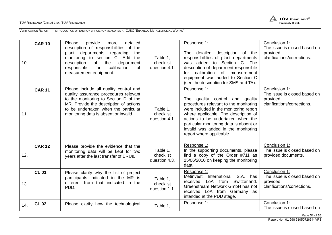

| 10. | <b>CAR 10</b> | Please<br>provide<br>detailed<br>more<br>description of responsibilities of the<br>plant departments regarding<br>the<br>monitoring to section C. Add the<br>description<br>the<br>of<br>department<br>calibration<br>responsible<br>for<br>of<br>measurement equipment. | Table 1,<br>checklist<br>question 4.1. | Response 1:<br>The detailed description of the<br>responsibilities of plant departments<br>was added to Section C. The<br>description of department responsible<br>calibration<br>of<br>measurement<br>for<br>equipment was added to Section C<br>(see the description for SMS and TA).                                      | Conclusion 1:<br>The issue is closed based on<br>provided<br>clarifications/corrections. |
|-----|---------------|--------------------------------------------------------------------------------------------------------------------------------------------------------------------------------------------------------------------------------------------------------------------------|----------------------------------------|------------------------------------------------------------------------------------------------------------------------------------------------------------------------------------------------------------------------------------------------------------------------------------------------------------------------------|------------------------------------------------------------------------------------------|
| 11. | <b>CAR 11</b> | Please include all quality control and<br>quality assurance procedures relevant<br>to the monitoring to Section D of the<br>MR. Provide the description of actions<br>to be undertaken when the particular<br>monitoring data is absent or invalid.                      | Table 1.<br>checklist<br>question 4.1. | Response 1:<br>The quality control and quality<br>procedures relevant to the monitoring<br>were included in the monitoring report<br>where applicable. The description of<br>actions to be undertaken when the<br>particular monitoring data is absent or<br>invalid was added in the monitoring<br>report where applicable. | Conclusion 1:<br>The issue is closed based on<br>provided<br>clarifications/corrections. |
| 12. | <b>CAR 12</b> | Please provide the evidence that the<br>monitoring data will be kept for two<br>years after the last transfer of ERUs.                                                                                                                                                   | Table 1,<br>checklist<br>question 4.3. | Response 1:<br>In the supporting documents, please<br>find a copy of the Order #711 as<br>25/06/2010 on keeping the monitoring<br>data.                                                                                                                                                                                      | Conclusion 1:<br>The issue is closed based on<br>provided documents.                     |
| 13. | <b>CL 01</b>  | Please clarify why the list of project<br>participants indicated in the MR is<br>different from that indicated in the<br>PDD.                                                                                                                                            | Table 1,<br>checklist<br>question 1.1. | Response 1:<br>Metinvest<br>S.A.<br>International<br>has<br>Switzerland.<br>received<br>LoA from<br>Greenstream Network GmbH has not<br>received LoA from Germany as<br>intended at the PDD stage.                                                                                                                           | Conclusion 1:<br>The issue is closed based on<br>provided<br>clarifications/corrections. |
| 14. | <b>CL 02</b>  | Please clarify how the technological                                                                                                                                                                                                                                     | Table 1,                               | Response 1:                                                                                                                                                                                                                                                                                                                  | Conclusion 1:<br>The issue is closed based on                                            |